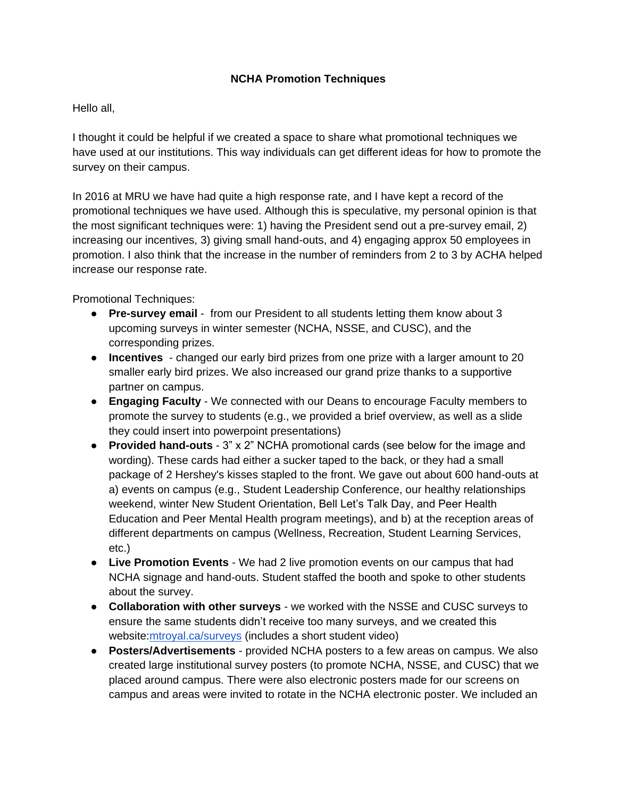## **NCHA Promotion Techniques**

## Hello all,

I thought it could be helpful if we created a space to share what promotional techniques we have used at our institutions. This way individuals can get different ideas for how to promote the survey on their campus.

In 2016 at MRU we have had quite a high response rate, and I have kept a record of the promotional techniques we have used. Although this is speculative, my personal opinion is that the most significant techniques were: 1) having the President send out a pre-survey email, 2) increasing our incentives, 3) giving small hand-outs, and 4) engaging approx 50 employees in promotion. I also think that the increase in the number of reminders from 2 to 3 by ACHA helped increase our response rate.

Promotional Techniques:

- **Pre-survey email** from our President to all students letting them know about 3 upcoming surveys in winter semester (NCHA, NSSE, and CUSC), and the corresponding prizes.
- **Incentives** changed our early bird prizes from one prize with a larger amount to 20 smaller early bird prizes. We also increased our grand prize thanks to a supportive partner on campus.
- **Engaging Faculty** We connected with our Deans to encourage Faculty members to promote the survey to students (e.g., we provided a brief overview, as well as a slide they could insert into powerpoint presentations)
- **Provided hand-outs** 3" x 2" NCHA promotional cards (see below for the image and wording). These cards had either a sucker taped to the back, or they had a small package of 2 Hershey's kisses stapled to the front. We gave out about 600 hand-outs at a) events on campus (e.g., Student Leadership Conference, our healthy relationships weekend, winter New Student Orientation, Bell Let's Talk Day, and Peer Health Education and Peer Mental Health program meetings), and b) at the reception areas of different departments on campus (Wellness, Recreation, Student Learning Services, etc.)
- **Live Promotion Events** We had 2 live promotion events on our campus that had NCHA signage and hand-outs. Student staffed the booth and spoke to other students about the survey.
- **Collaboration with other surveys** we worked with the NSSE and CUSC surveys to ensure the same students didn't receive too many surveys, and we created this website[:mtroyal.ca/surveys](http://www.mtroyal.ca/AcademicSupport/InstitutionalSurveys/index.htm) (includes a short student video)
- **Posters/Advertisements**  provided NCHA posters to a few areas on campus. We also created large institutional survey posters (to promote NCHA, NSSE, and CUSC) that we placed around campus. There were also electronic posters made for our screens on campus and areas were invited to rotate in the NCHA electronic poster. We included an